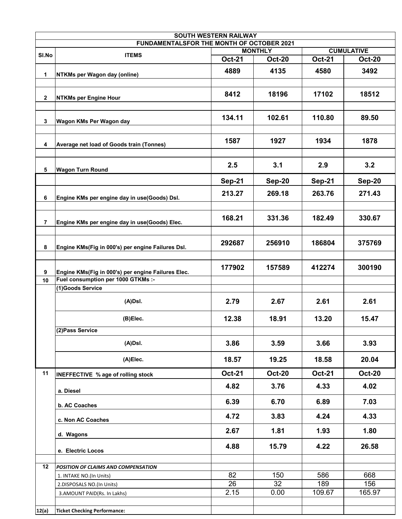|                                                  | FUNDAMENTALSFOR THE MONTH OF OCTOBER 2021                    | <b>SOUTH WESTERN RAILWAY</b> |               |               |               |  |  |  |
|--------------------------------------------------|--------------------------------------------------------------|------------------------------|---------------|---------------|---------------|--|--|--|
|                                                  | <b>CUMULATIVE</b><br><b>MONTHLY</b><br>SI.No<br><b>ITEMS</b> |                              |               |               |               |  |  |  |
|                                                  |                                                              | <b>Oct-21</b>                | <b>Oct-20</b> | <b>Oct-21</b> | <b>Oct-20</b> |  |  |  |
|                                                  | NTKMs per Wagon day (online)                                 | 4889                         | 4135          | 4580          | 3492          |  |  |  |
|                                                  |                                                              |                              |               |               |               |  |  |  |
| $\mathbf{2}$                                     | <b>NTKMs per Engine Hour</b>                                 | 8412                         | 18196         | 17102         | 18512         |  |  |  |
|                                                  |                                                              |                              |               |               |               |  |  |  |
|                                                  | Wagon KMs Per Wagon day                                      | 134.11                       | 102.61        | 110.80        | 89.50         |  |  |  |
|                                                  |                                                              |                              |               |               |               |  |  |  |
|                                                  |                                                              | 1587                         | 1927          | 1934          | 1878          |  |  |  |
| 1<br>3<br>4<br>5<br>6<br>7<br>8<br>9<br>10<br>11 | Average net load of Goods train (Tonnes)                     |                              |               |               |               |  |  |  |
|                                                  |                                                              | 2.5                          | 3.1           | 2.9           | 3.2           |  |  |  |
|                                                  | <b>Wagon Turn Round</b>                                      |                              |               |               |               |  |  |  |
|                                                  |                                                              | <b>Sep-21</b>                | <b>Sep-20</b> | <b>Sep-21</b> | <b>Sep-20</b> |  |  |  |
|                                                  | Engine KMs per engine day in use(Goods) Dsl.                 | 213.27                       | 269.18        | 263.76        | 271.43        |  |  |  |
|                                                  |                                                              |                              |               |               |               |  |  |  |
|                                                  |                                                              | 168.21                       | 331.36        | 182.49        | 330.67        |  |  |  |
|                                                  | Engine KMs per engine day in use(Goods) Elec.                |                              |               |               |               |  |  |  |
|                                                  |                                                              |                              |               |               |               |  |  |  |
|                                                  | Engine KMs(Fig in 000's) per engine Failures Dsl.            | 292687                       | 256910        | 186804        | 375769        |  |  |  |
|                                                  |                                                              |                              |               |               |               |  |  |  |
|                                                  | Engine KMs(Fig in 000's) per engine Failures Elec.           | 177902                       | 157589        | 412274        | 300190        |  |  |  |
|                                                  | Fuel consumption per 1000 GTKMs :-                           |                              |               |               |               |  |  |  |
|                                                  | (1)Goods Service                                             |                              |               |               |               |  |  |  |
|                                                  | (A)Dsl.                                                      | 2.79                         | 2.67          | 2.61          | 2.61          |  |  |  |
|                                                  | (B)Elec.                                                     | 12.38                        | 18.91         | 13.20         | 15.47         |  |  |  |
|                                                  | (2) Pass Service                                             |                              |               |               |               |  |  |  |
|                                                  | $(A)$ Dsl.                                                   | 3.86                         | 3.59          | 3.66          | 3.93          |  |  |  |
|                                                  | (A)Elec.                                                     | 18.57                        | 19.25         | 18.58         | 20.04         |  |  |  |
|                                                  | INEFFECTIVE % age of rolling stock                           | <b>Oct-21</b>                | <b>Oct-20</b> | <b>Oct-21</b> | <b>Oct-20</b> |  |  |  |
|                                                  | a. Diesel                                                    | 4.82                         | 3.76          | 4.33          | 4.02          |  |  |  |
|                                                  | b. AC Coaches                                                | 6.39                         | 6.70          | 6.89          | 7.03          |  |  |  |
|                                                  | c. Non AC Coaches                                            | 4.72                         | 3.83          | 4.24          | 4.33          |  |  |  |
|                                                  | d. Wagons                                                    | 2.67                         | 1.81          | 1.93          | 1.80          |  |  |  |
|                                                  | e. Electric Locos                                            | 4.88                         | 15.79         | 4.22          | 26.58         |  |  |  |
|                                                  |                                                              |                              |               |               |               |  |  |  |
| 12                                               | POSITION OF CLAIMS AND COMPENSATION                          |                              |               |               |               |  |  |  |
|                                                  | 1. INTAKE NO.(In Units)                                      | 82<br>26                     | 150<br>32     | 586<br>189    | 668<br>156    |  |  |  |
|                                                  | 2.DISPOSALS NO.(In Units)<br>3.AMOUNT PAID(Rs. In Lakhs)     | 2.15                         | 0.00          | 109.67        | 165.97        |  |  |  |
|                                                  |                                                              |                              |               |               |               |  |  |  |
| 12(a)                                            | <b>Ticket Checking Performance:</b>                          |                              |               |               |               |  |  |  |